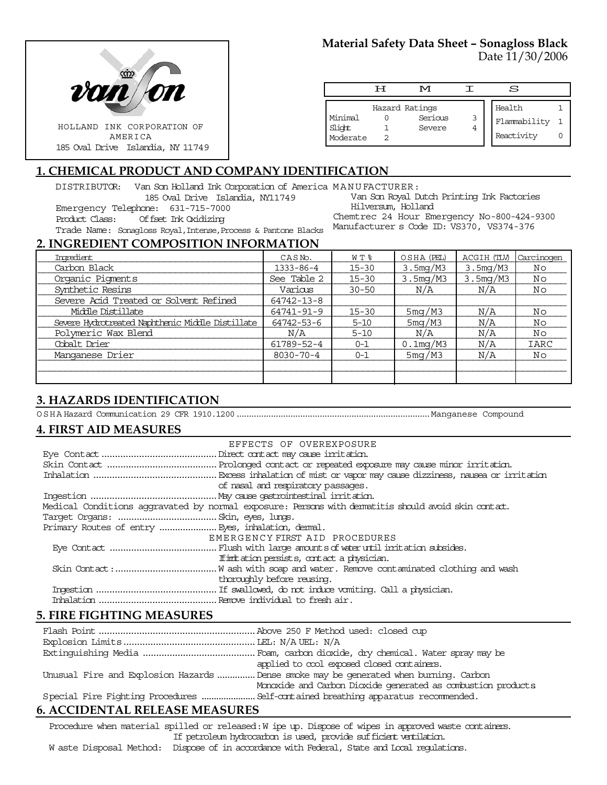

# **Material Safety Data Sheet – Sonagloss Black**

Date 11/30/2006

|                               | ਸ | M                                   |        | S                                    |  |
|-------------------------------|---|-------------------------------------|--------|--------------------------------------|--|
| Minimal<br>Slight<br>Moderate |   | Hazard Ratings<br>Serious<br>Severe | 3<br>4 | Health<br>Flammability<br>Reactivity |  |

## **1. CHEMICAL PRODUCT AND COMPANY IDENTIFICATION**

DISTRIBUTOR: Van Son Holland Ink Corporation of America MANUFACTURER:

185 Oval Drive Islandia, NY11749

Emergency Telephone: 631-715-7000

Product Class: Offset Ink Oxidizing

Van Son Royal Dutch Printing Ink Factories Hilversum, Holland Chemtrec 24 Hour Emergency No-800-424-9300 Manufacturer s Code ID: VS370, VS374-376

Trade Name: Sonagloss Royal,Intense,Process & Pantone Blacks **2. INGREDIENT COMPOSITION INFORMATION**

| 2. IN SKEDIEN I COMI OSHION INI OKMIHISH         |                     |           |             |             |            |
|--------------------------------------------------|---------------------|-----------|-------------|-------------|------------|
| Imredient                                        | CASN <sub>o</sub> . | W T %     | OSHA (PEL)  | ACGIH (TLV) | Carcinogen |
| Carbon Black                                     | 1333-86-4           | $15 - 30$ | 3.5mg/M3    | 3.5mg/M3    | Νo         |
| Organic Pigments                                 | See Table 2         | $15 - 30$ | 3.5mg/M3    | 3.5mg/M3    | Νo         |
| Synthetic Resins                                 | Various             | $30 - 50$ | N/A         | N/A         | Νo         |
| Severe Acid Treated or Solvent Refined           | 64742-13-8          |           |             |             |            |
| Middle Distillate                                | 64741-91-9          | $15 - 30$ | 5mg/M3      | N/A         | Nο         |
| Severe Hydrotreated Naphthenic Middle Distillate | 64742-53-6          | $5 - 10$  | 5mg/M3      | N/A         | Nο         |
| Polymeric Wax Blend                              | N/A                 | $5 - 10$  | N/A         | N/A         | Νo         |
| Cobalt Drier                                     | 61789-52-4          | $0 - 1$   | $0.1$ mg/M3 | N/A         | IARC       |
| Manganese Drier                                  | $8030 - 70 - 4$     | $0 - 1$   | 5mg/M3      | N/A         | Νo         |
|                                                  |                     |           |             |             |            |
|                                                  |                     |           |             |             |            |
|                                                  |                     |           |             |             |            |

# **3. HAZARDS IDENTIFICATION**

OSHA Hazard Communication 29 CFR 1910.1200...............................................................................Manganese Compound

# **4. FIRST AID MEASURES**

|                                                   | EFFECTS OF OVEREXPOSURE                                                                            |
|---------------------------------------------------|----------------------------------------------------------------------------------------------------|
|                                                   |                                                                                                    |
|                                                   |                                                                                                    |
|                                                   |                                                                                                    |
|                                                   | of nasal and respiratory passages.                                                                 |
|                                                   |                                                                                                    |
|                                                   | Medical Conditions aggravated by normal exposure: Persons with dematitis should avoid skin contat. |
|                                                   |                                                                                                    |
| Primary Routes of entry  Eyes, inhalation, demal. |                                                                                                    |
|                                                   | EMERGENCY FIRST AID PROCEDURES                                                                     |
|                                                   |                                                                                                    |
|                                                   | If initiation persists, contact a physician.                                                       |
|                                                   |                                                                                                    |
|                                                   | thoroughly before reusing.                                                                         |
|                                                   |                                                                                                    |
|                                                   |                                                                                                    |
|                                                   |                                                                                                    |

# **5. FIRE FIGHTING MEASURES**

|                                               | applied to cool exposed closed containers.                                            |
|-----------------------------------------------|---------------------------------------------------------------------------------------|
|                                               | Unusual Fire and Explosion Hazards  Dense smoke may be generated when burning. Carbon |
|                                               | Monoxide and Carbon Dioxide generated as combustion products                          |
|                                               |                                                                                       |
| $\epsilon$ a countring to not pack and curred |                                                                                       |

# **6. ACCIDENTAL RELEASE MEASURES**

Procedure when material spilled or released: W ipe up. Dispose of wipes in approved waste containers. If petroleum hydrocarbon is used, provide sufficient ventilation.

W aste Disposal Method: Dispose of in accordance with Federal, State and Local regulations.